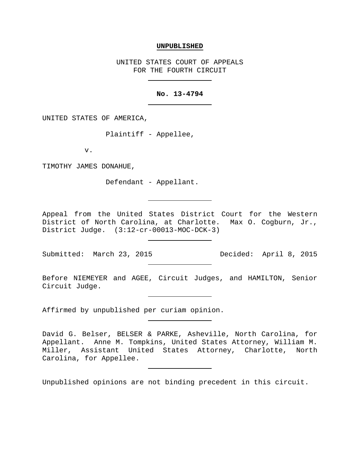## **UNPUBLISHED**

UNITED STATES COURT OF APPEALS FOR THE FOURTH CIRCUIT

## **No. 13-4794**

UNITED STATES OF AMERICA,

Plaintiff - Appellee,

v.

TIMOTHY JAMES DONAHUE,

Defendant - Appellant.

Appeal from the United States District Court for the Western District of North Carolina, at Charlotte. Max O. Cogburn, Jr., District Judge. (3:12-cr-00013-MOC-DCK-3)

Submitted: March 23, 2015 Decided: April 8, 2015

Before NIEMEYER and AGEE, Circuit Judges, and HAMILTON, Senior Circuit Judge.

Affirmed by unpublished per curiam opinion.

Unpublished opinions are not binding precedent in this circuit.

David G. Belser, BELSER & PARKE, Asheville, North Carolina, for Appellant. Anne M. Tompkins, United States Attorney, William M. Miller, Assistant United States Attorney, Charlotte, North Carolina, for Appellee.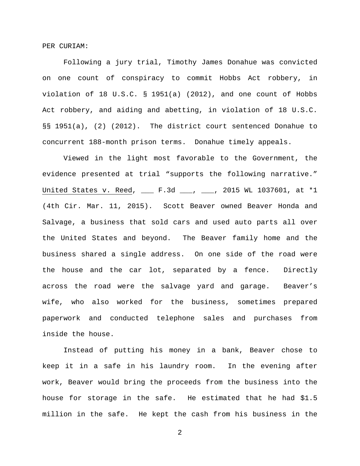PER CURIAM:

Following a jury trial, Timothy James Donahue was convicted on one count of conspiracy to commit Hobbs Act robbery, in violation of 18 U.S.C. § 1951(a) (2012), and one count of Hobbs Act robbery, and aiding and abetting, in violation of 18 U.S.C. §§ 1951(a), (2) (2012). The district court sentenced Donahue to concurrent 188-month prison terms. Donahue timely appeals.

Viewed in the light most favorable to the Government, the evidence presented at trial "supports the following narrative." United States v. Reed, \_\_\_ F.3d \_\_\_, \_\_\_, 2015 WL 1037601, at \*1 (4th Cir. Mar. 11, 2015). Scott Beaver owned Beaver Honda and Salvage, a business that sold cars and used auto parts all over the United States and beyond. The Beaver family home and the business shared a single address. On one side of the road were the house and the car lot, separated by a fence. Directly across the road were the salvage yard and garage. Beaver's wife, who also worked for the business, sometimes prepared paperwork and conducted telephone sales and purchases from inside the house.

Instead of putting his money in a bank, Beaver chose to keep it in a safe in his laundry room. In the evening after work, Beaver would bring the proceeds from the business into the house for storage in the safe. He estimated that he had \$1.5 million in the safe. He kept the cash from his business in the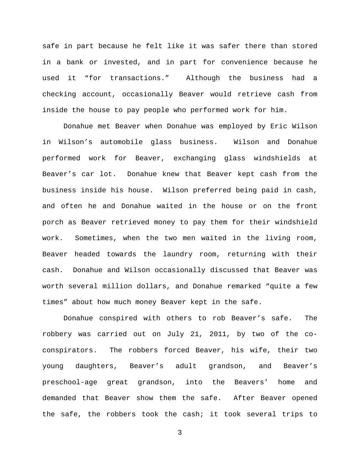safe in part because he felt like it was safer there than stored in a bank or invested, and in part for convenience because he used it "for transactions." Although the business had a checking account, occasionally Beaver would retrieve cash from inside the house to pay people who performed work for him.

Donahue met Beaver when Donahue was employed by Eric Wilson in Wilson's automobile glass business. Wilson and Donahue performed work for Beaver, exchanging glass windshields at Beaver's car lot. Donahue knew that Beaver kept cash from the business inside his house. Wilson preferred being paid in cash, and often he and Donahue waited in the house or on the front porch as Beaver retrieved money to pay them for their windshield work. Sometimes, when the two men waited in the living room, Beaver headed towards the laundry room, returning with their cash. Donahue and Wilson occasionally discussed that Beaver was worth several million dollars, and Donahue remarked "quite a few times" about how much money Beaver kept in the safe.

Donahue conspired with others to rob Beaver's safe. The robbery was carried out on July 21, 2011, by two of the coconspirators. The robbers forced Beaver, his wife, their two young daughters, Beaver's adult grandson, and Beaver's preschool-age great grandson, into the Beavers' home and demanded that Beaver show them the safe. After Beaver opened the safe, the robbers took the cash; it took several trips to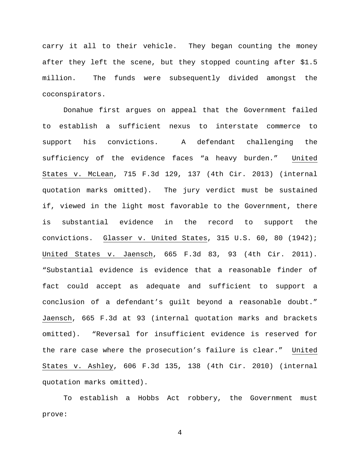carry it all to their vehicle. They began counting the money after they left the scene, but they stopped counting after \$1.5 million. The funds were subsequently divided amongst the coconspirators.

Donahue first argues on appeal that the Government failed to establish a sufficient nexus to interstate commerce to support his convictions. A defendant challenging the sufficiency of the evidence faces "a heavy burden." United States v. McLean, 715 F.3d 129, 137 (4th Cir. 2013) (internal quotation marks omitted). The jury verdict must be sustained if, viewed in the light most favorable to the Government, there is substantial evidence in the record to support the convictions. Glasser v. United States, 315 U.S. 60, 80 (1942); United States v. Jaensch, 665 F.3d 83, 93 (4th Cir. 2011). "Substantial evidence is evidence that a reasonable finder of fact could accept as adequate and sufficient to support a conclusion of a defendant's guilt beyond a reasonable doubt." Jaensch, 665 F.3d at 93 (internal quotation marks and brackets omitted). "Reversal for insufficient evidence is reserved for the rare case where the prosecution's failure is clear." United States v. Ashley, 606 F.3d 135, 138 (4th Cir. 2010) (internal quotation marks omitted).

To establish a Hobbs Act robbery, the Government must prove: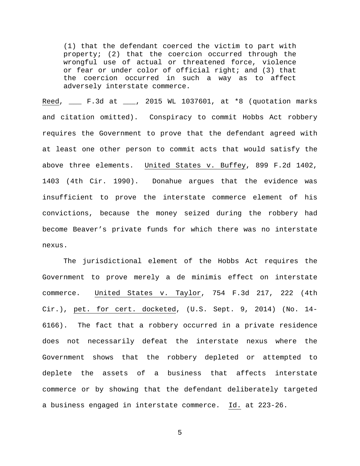(1) that the defendant coerced the victim to part with property; (2) that the coercion occurred through the wrongful use of actual or threatened force, violence or fear or under color of official right; and (3) that the coercion occurred in such a way as to affect adversely interstate commerce.

Reed, \_\_\_ F.3d at \_\_\_, 2015 WL 1037601, at \*8 (quotation marks and citation omitted). Conspiracy to commit Hobbs Act robbery requires the Government to prove that the defendant agreed with at least one other person to commit acts that would satisfy the above three elements. United States v. Buffey, 899 F.2d 1402, 1403 (4th Cir. 1990). Donahue argues that the evidence was insufficient to prove the interstate commerce element of his convictions, because the money seized during the robbery had become Beaver's private funds for which there was no interstate nexus.

The jurisdictional element of the Hobbs Act requires the Government to prove merely a de minimis effect on interstate commerce. United States v. Taylor, 754 F.3d 217, 222 (4th Cir.), pet. for cert. docketed, (U.S. Sept. 9, 2014) (No. 14- 6166). The fact that a robbery occurred in a private residence does not necessarily defeat the interstate nexus where the Government shows that the robbery depleted or attempted to deplete the assets of a business that affects interstate commerce or by showing that the defendant deliberately targeted a business engaged in interstate commerce. Id. at 223-26.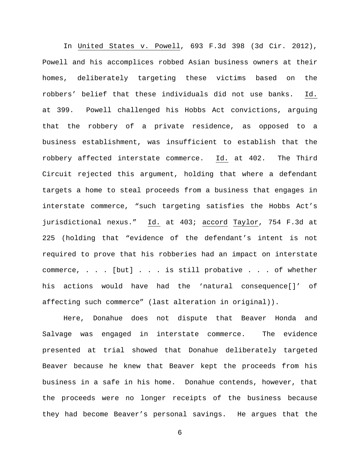In United States v. Powell, 693 F.3d 398 (3d Cir. 2012), Powell and his accomplices robbed Asian business owners at their homes, deliberately targeting these victims based on the robbers' belief that these individuals did not use banks. Id. at 399. Powell challenged his Hobbs Act convictions, arguing that the robbery of a private residence, as opposed to a business establishment, was insufficient to establish that the robbery affected interstate commerce. Id. at 402. The Third Circuit rejected this argument, holding that where a defendant targets a home to steal proceeds from a business that engages in interstate commerce, "such targeting satisfies the Hobbs Act's jurisdictional nexus." Id. at 403; accord Taylor, 754 F.3d at 225 (holding that "evidence of the defendant's intent is not required to prove that his robberies had an impact on interstate commerce, . . . [but] . . . is still probative . . . of whether his actions would have had the 'natural consequence[]' of affecting such commerce" (last alteration in original)).

Here, Donahue does not dispute that Beaver Honda and Salvage was engaged in interstate commerce. The evidence presented at trial showed that Donahue deliberately targeted Beaver because he knew that Beaver kept the proceeds from his business in a safe in his home. Donahue contends, however, that the proceeds were no longer receipts of the business because they had become Beaver's personal savings. He argues that the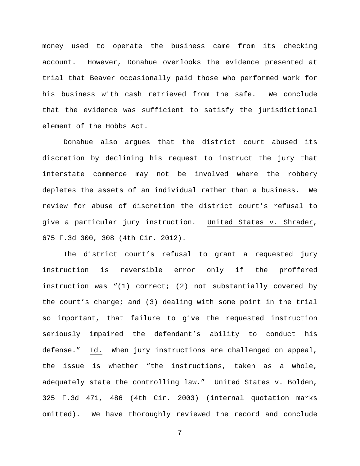money used to operate the business came from its checking account. However, Donahue overlooks the evidence presented at trial that Beaver occasionally paid those who performed work for his business with cash retrieved from the safe. We conclude that the evidence was sufficient to satisfy the jurisdictional element of the Hobbs Act.

Donahue also argues that the district court abused its discretion by declining his request to instruct the jury that interstate commerce may not be involved where the robbery depletes the assets of an individual rather than a business. We review for abuse of discretion the district court's refusal to give a particular jury instruction. United States v. Shrader, 675 F.3d 300, 308 (4th Cir. 2012).

The district court's refusal to grant a requested jury instruction is reversible error only if the proffered instruction was "(1) correct; (2) not substantially covered by the court's charge; and (3) dealing with some point in the trial so important, that failure to give the requested instruction seriously impaired the defendant's ability to conduct his defense." Id. When jury instructions are challenged on appeal, the issue is whether "the instructions, taken as a whole, adequately state the controlling law." United States v. Bolden, 325 F.3d 471, 486 (4th Cir. 2003) (internal quotation marks omitted). We have thoroughly reviewed the record and conclude